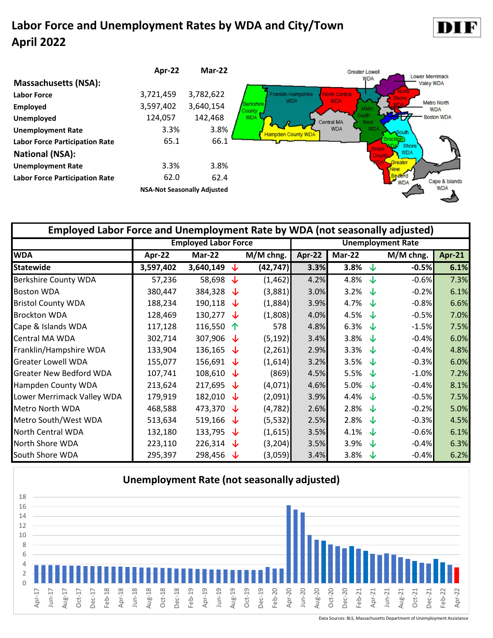#### **Labor Force and Unemployment Rates by WDA and City/Town April 2022**





| Employed Labor Force and Unemployment Rate by WDA (not seasonally adjusted) |           |                             |          |           |        |                   |     |                          |               |  |  |  |
|-----------------------------------------------------------------------------|-----------|-----------------------------|----------|-----------|--------|-------------------|-----|--------------------------|---------------|--|--|--|
|                                                                             |           | <b>Employed Labor Force</b> |          |           |        |                   |     | <b>Unemployment Rate</b> |               |  |  |  |
| <b>WDA</b>                                                                  | Apr-22    | Mar-22                      |          | M/M chng. | Apr-22 | <b>Mar-22</b>     |     | M/M chng.                | <b>Apr-21</b> |  |  |  |
| <b>Statewide</b>                                                            | 3,597,402 | 3,640,149                   | ↓        | (42, 747) | 3.3%   | 3.8%              | J   | $-0.5%$                  | 6.1%          |  |  |  |
| <b>Berkshire County WDA</b>                                                 | 57,236    | 58,698                      | <b>√</b> | (1, 462)  | 4.2%   | 4.8%              | J.  | $-0.6%$                  | 7.3%          |  |  |  |
| <b>Boston WDA</b>                                                           | 380,447   | 384,328                     | √⊾       | (3,881)   | 3.0%   | 3.2% $\sqrt{ }$   |     | $-0.2%$                  | 6.1%          |  |  |  |
| <b>Bristol County WDA</b>                                                   | 188,234   | 190,118                     | ี่ง      | (1,884)   | 3.9%   | 4.7% $\downarrow$ |     | $-0.8%$                  | 6.6%          |  |  |  |
| <b>Brockton WDA</b>                                                         | 128,469   | 130,277                     | J        | (1,808)   | 4.0%   | 4.5%              | J   | $-0.5%$                  | 7.0%          |  |  |  |
| Cape & Islands WDA                                                          | 117,128   | 116,550                     | 个        | 578       | 4.8%   | 6.3%              | J   | $-1.5%$                  | 7.5%          |  |  |  |
| Central MA WDA                                                              | 302,714   | 307,906                     | √⊾       | (5, 192)  | 3.4%   | 3.8%              | J   | $-0.4%$                  | 6.0%          |  |  |  |
| Franklin/Hampshire WDA                                                      | 133,904   | 136,165                     | ึง⊳      | (2,261)   | 2.9%   | 3.3%              | -Jz | $-0.4%$                  | 4.8%          |  |  |  |
| <b>Greater Lowell WDA</b>                                                   | 155,077   | 156,691 $\downarrow$        |          | (1,614)   | 3.2%   | 3.5%              | ึง⊳ | $-0.3%$                  | 6.0%          |  |  |  |
| <b>Greater New Bedford WDA</b>                                              | 107,741   | 108,610                     | ึง⊳      | (869)     | 4.5%   | 5.5%              | J   | $-1.0%$                  | 7.2%          |  |  |  |
| Hampden County WDA                                                          | 213,624   | 217,695                     | √⊾       | (4,071)   | 4.6%   | 5.0%              | ึง⊳ | $-0.4%$                  | 8.1%          |  |  |  |
| Lower Merrimack Valley WDA                                                  | 179,919   | 182,010                     | ึง⊳      | (2,091)   | 3.9%   | 4.4%              | J   | $-0.5%$                  | 7.5%          |  |  |  |
| Metro North WDA                                                             | 468,588   | 473,370                     | √⊾       | (4, 782)  | 2.6%   | 2.8%              | J   | $-0.2%$                  | 5.0%          |  |  |  |
| Metro South/West WDA                                                        | 513,634   | 519,166                     | ◡        | (5, 532)  | 2.5%   | 2.8%              | ึง⊳ | $-0.3%$                  | 4.5%          |  |  |  |
| <b>North Central WDA</b>                                                    | 132,180   | 133,795                     | ◡        | (1,615)   | 3.5%   | 4.1%              | ึง⊳ | $-0.6%$                  | 6.1%          |  |  |  |
| North Shore WDA                                                             | 223,110   | 226,314                     | ◡        | (3, 204)  | 3.5%   | 3.9%              | J   | $-0.4%$                  | 6.3%          |  |  |  |
| South Shore WDA                                                             | 295,397   | 298,456                     | ∿        | (3,059)   | 3.4%   | 3.8%              | ∿   | $-0.4%$                  | 6.2%          |  |  |  |



Data Sources: BLS, Massachusetts Department of Unemployment Assistance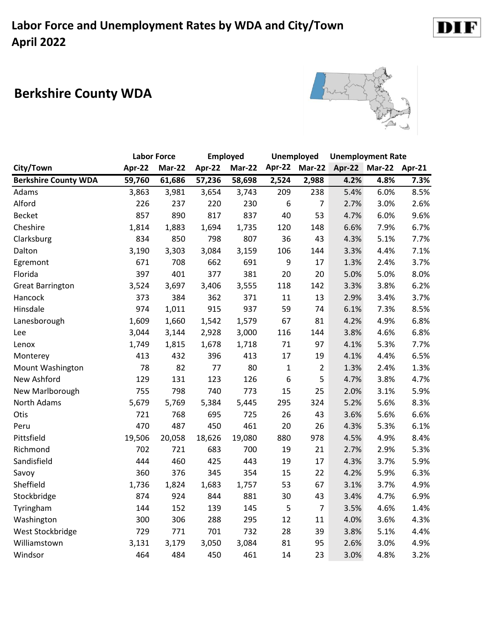# **Berkshire County WDA**



|                             |        | <b>Labor Force</b> |        | <b>Employed</b> |        | <b>Unemployed</b> |      | <b>Unemployment Rate</b> |        |
|-----------------------------|--------|--------------------|--------|-----------------|--------|-------------------|------|--------------------------|--------|
| City/Town                   | Apr-22 | Mar-22             | Apr-22 | <b>Mar-22</b>   | Apr-22 | <b>Mar-22</b>     |      | Apr-22 Mar-22            | Apr-21 |
| <b>Berkshire County WDA</b> | 59,760 | 61,686             | 57,236 | 58,698          | 2,524  | 2,988             | 4.2% | 4.8%                     | 7.3%   |
| Adams                       | 3,863  | 3,981              | 3,654  | 3,743           | 209    | 238               | 5.4% | 6.0%                     | 8.5%   |
| Alford                      | 226    | 237                | 220    | 230             | 6      | $\overline{7}$    | 2.7% | 3.0%                     | 2.6%   |
| <b>Becket</b>               | 857    | 890                | 817    | 837             | 40     | 53                | 4.7% | 6.0%                     | 9.6%   |
| Cheshire                    | 1,814  | 1,883              | 1,694  | 1,735           | 120    | 148               | 6.6% | 7.9%                     | 6.7%   |
| Clarksburg                  | 834    | 850                | 798    | 807             | 36     | 43                | 4.3% | 5.1%                     | 7.7%   |
| Dalton                      | 3,190  | 3,303              | 3,084  | 3,159           | 106    | 144               | 3.3% | 4.4%                     | 7.1%   |
| Egremont                    | 671    | 708                | 662    | 691             | 9      | 17                | 1.3% | 2.4%                     | 3.7%   |
| Florida                     | 397    | 401                | 377    | 381             | 20     | 20                | 5.0% | 5.0%                     | 8.0%   |
| <b>Great Barrington</b>     | 3,524  | 3,697              | 3,406  | 3,555           | 118    | 142               | 3.3% | 3.8%                     | 6.2%   |
| Hancock                     | 373    | 384                | 362    | 371             | 11     | 13                | 2.9% | 3.4%                     | 3.7%   |
| Hinsdale                    | 974    | 1,011              | 915    | 937             | 59     | 74                | 6.1% | 7.3%                     | 8.5%   |
| Lanesborough                | 1,609  | 1,660              | 1,542  | 1,579           | 67     | 81                | 4.2% | 4.9%                     | 6.8%   |
| Lee                         | 3,044  | 3,144              | 2,928  | 3,000           | 116    | 144               | 3.8% | 4.6%                     | 6.8%   |
| Lenox                       | 1,749  | 1,815              | 1,678  | 1,718           | 71     | 97                | 4.1% | 5.3%                     | 7.7%   |
| Monterey                    | 413    | 432                | 396    | 413             | 17     | 19                | 4.1% | 4.4%                     | 6.5%   |
| <b>Mount Washington</b>     | 78     | 82                 | 77     | 80              | 1      | $\overline{2}$    | 1.3% | 2.4%                     | 1.3%   |
| New Ashford                 | 129    | 131                | 123    | 126             | 6      | 5                 | 4.7% | 3.8%                     | 4.7%   |
| New Marlborough             | 755    | 798                | 740    | 773             | 15     | 25                | 2.0% | 3.1%                     | 5.9%   |
| North Adams                 | 5,679  | 5,769              | 5,384  | 5,445           | 295    | 324               | 5.2% | 5.6%                     | 8.3%   |
| Otis                        | 721    | 768                | 695    | 725             | 26     | 43                | 3.6% | 5.6%                     | 6.6%   |
| Peru                        | 470    | 487                | 450    | 461             | 20     | 26                | 4.3% | 5.3%                     | 6.1%   |
| Pittsfield                  | 19,506 | 20,058             | 18,626 | 19,080          | 880    | 978               | 4.5% | 4.9%                     | 8.4%   |
| Richmond                    | 702    | 721                | 683    | 700             | 19     | 21                | 2.7% | 2.9%                     | 5.3%   |
| Sandisfield                 | 444    | 460                | 425    | 443             | 19     | 17                | 4.3% | 3.7%                     | 5.9%   |
| Savoy                       | 360    | 376                | 345    | 354             | 15     | 22                | 4.2% | 5.9%                     | 6.3%   |
| Sheffield                   | 1,736  | 1,824              | 1,683  | 1,757           | 53     | 67                | 3.1% | 3.7%                     | 4.9%   |
| Stockbridge                 | 874    | 924                | 844    | 881             | 30     | 43                | 3.4% | 4.7%                     | 6.9%   |
| Tyringham                   | 144    | 152                | 139    | 145             | 5      | $\overline{7}$    | 3.5% | 4.6%                     | 1.4%   |
| Washington                  | 300    | 306                | 288    | 295             | 12     | 11                | 4.0% | 3.6%                     | 4.3%   |
| West Stockbridge            | 729    | 771                | 701    | 732             | 28     | 39                | 3.8% | 5.1%                     | 4.4%   |
| Williamstown                | 3,131  | 3,179              | 3,050  | 3,084           | 81     | 95                | 2.6% | 3.0%                     | 4.9%   |
| Windsor                     | 464    | 484                | 450    | 461             | 14     | 23                | 3.0% | 4.8%                     | 3.2%   |

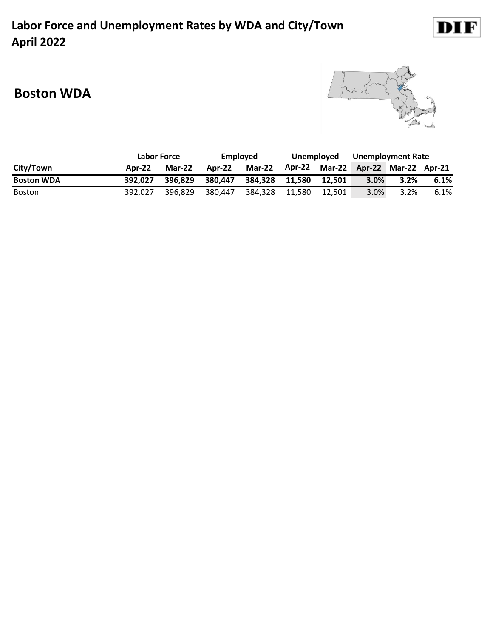#### **Labor Force and Unemployment Rates by WDA and City/Town April 2022**



#### **Boston WDA**



|                   | Labor Force   |          | Employed |               | Unemploved |        | <b>Unemployment Rate</b>           |      |      |
|-------------------|---------------|----------|----------|---------------|------------|--------|------------------------------------|------|------|
| City/Town         | <b>Apr-22</b> | $Mar-22$ | Apr-22   | <b>Mar-22</b> |            |        | Apr-22 Mar-22 Apr-22 Mar-22 Apr-21 |      |      |
| <b>Boston WDA</b> | 392.027       | 396.829  | 380.447  | 384.328       | 11.580     | 12.501 | 3.0%                               | 3.2% | 6.1% |
| <b>Boston</b>     | 392.027       | 396.829  | 380.447  | 384.328       | 11.580     | 12.501 | 3.0%                               | 3.2% | 6.1% |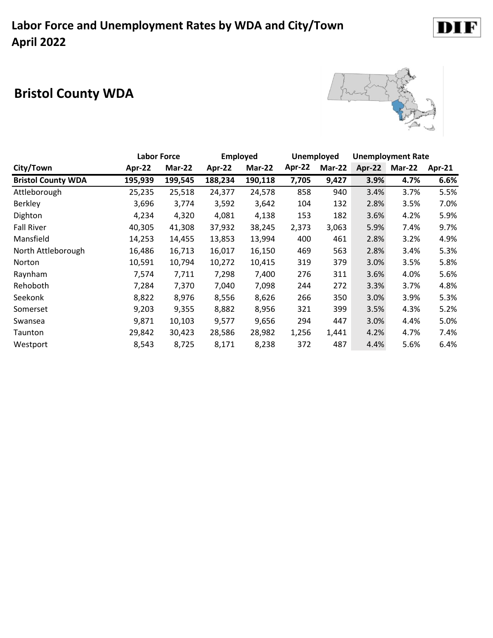# **Bristol County WDA**



DIF

|                           |         | <b>Labor Force</b> |         | <b>Employed</b> |        | <b>Unemployed</b> |        | <b>Unemployment Rate</b> |          |
|---------------------------|---------|--------------------|---------|-----------------|--------|-------------------|--------|--------------------------|----------|
| City/Town                 | Apr-22  | Mar-22             | Apr-22  | Mar-22          | Apr-22 | Mar-22            | Apr-22 | Mar-22                   | $Apr-21$ |
| <b>Bristol County WDA</b> | 195,939 | 199,545            | 188,234 | 190,118         | 7,705  | 9,427             | 3.9%   | 4.7%                     | 6.6%     |
| Attleborough              | 25,235  | 25,518             | 24,377  | 24,578          | 858    | 940               | 3.4%   | 3.7%                     | 5.5%     |
| <b>Berkley</b>            | 3,696   | 3,774              | 3,592   | 3,642           | 104    | 132               | 2.8%   | 3.5%                     | 7.0%     |
| Dighton                   | 4,234   | 4,320              | 4,081   | 4,138           | 153    | 182               | 3.6%   | 4.2%                     | 5.9%     |
| <b>Fall River</b>         | 40,305  | 41,308             | 37,932  | 38,245          | 2,373  | 3,063             | 5.9%   | 7.4%                     | 9.7%     |
| Mansfield                 | 14,253  | 14,455             | 13,853  | 13,994          | 400    | 461               | 2.8%   | 3.2%                     | 4.9%     |
| North Attleborough        | 16,486  | 16,713             | 16,017  | 16,150          | 469    | 563               | 2.8%   | 3.4%                     | 5.3%     |
| Norton                    | 10,591  | 10,794             | 10,272  | 10,415          | 319    | 379               | 3.0%   | 3.5%                     | 5.8%     |
| Raynham                   | 7,574   | 7,711              | 7,298   | 7,400           | 276    | 311               | 3.6%   | 4.0%                     | 5.6%     |
| Rehoboth                  | 7,284   | 7,370              | 7,040   | 7,098           | 244    | 272               | 3.3%   | 3.7%                     | 4.8%     |
| Seekonk                   | 8,822   | 8,976              | 8,556   | 8,626           | 266    | 350               | 3.0%   | 3.9%                     | 5.3%     |
| Somerset                  | 9,203   | 9,355              | 8,882   | 8,956           | 321    | 399               | 3.5%   | 4.3%                     | 5.2%     |
| Swansea                   | 9,871   | 10,103             | 9,577   | 9,656           | 294    | 447               | 3.0%   | 4.4%                     | 5.0%     |
| Taunton                   | 29,842  | 30,423             | 28,586  | 28,982          | 1,256  | 1,441             | 4.2%   | 4.7%                     | 7.4%     |
| Westport                  | 8,543   | 8,725              | 8,171   | 8,238           | 372    | 487               | 4.4%   | 5.6%                     | 6.4%     |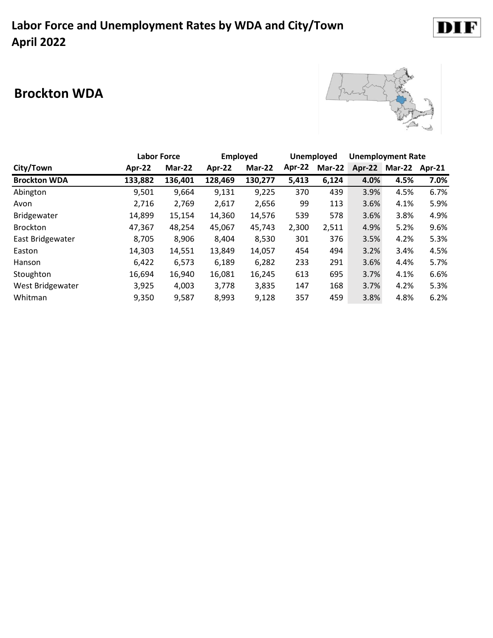# DIF

### **Brockton WDA**



|                     |         | <b>Labor Force</b> | <b>Employed</b> |         |        | <b>Unemployed</b> | <b>Unemployment Rate</b> |               |      |
|---------------------|---------|--------------------|-----------------|---------|--------|-------------------|--------------------------|---------------|------|
| City/Town           | Apr-22  | <b>Mar-22</b>      | Apr-22          | Mar-22  | Apr-22 | Mar-22            | Apr-22                   | Mar-22 Apr-21 |      |
| <b>Brockton WDA</b> | 133,882 | 136,401            | 128,469         | 130,277 | 5,413  | 6,124             | 4.0%                     | 4.5%          | 7.0% |
| Abington            | 9,501   | 9,664              | 9,131           | 9,225   | 370    | 439               | 3.9%                     | 4.5%          | 6.7% |
| Avon                | 2,716   | 2,769              | 2,617           | 2,656   | 99     | 113               | 3.6%                     | 4.1%          | 5.9% |
| Bridgewater         | 14,899  | 15,154             | 14,360          | 14,576  | 539    | 578               | 3.6%                     | 3.8%          | 4.9% |
| <b>Brockton</b>     | 47,367  | 48,254             | 45,067          | 45,743  | 2,300  | 2,511             | 4.9%                     | 5.2%          | 9.6% |
| East Bridgewater    | 8,705   | 8,906              | 8,404           | 8,530   | 301    | 376               | 3.5%                     | 4.2%          | 5.3% |
| Easton              | 14,303  | 14,551             | 13,849          | 14,057  | 454    | 494               | 3.2%                     | 3.4%          | 4.5% |
| Hanson              | 6,422   | 6,573              | 6,189           | 6,282   | 233    | 291               | 3.6%                     | 4.4%          | 5.7% |
| Stoughton           | 16,694  | 16,940             | 16,081          | 16,245  | 613    | 695               | 3.7%                     | 4.1%          | 6.6% |
| West Bridgewater    | 3,925   | 4,003              | 3,778           | 3,835   | 147    | 168               | 3.7%                     | 4.2%          | 5.3% |
| Whitman             | 9,350   | 9,587              | 8,993           | 9,128   | 357    | 459               | 3.8%                     | 4.8%          | 6.2% |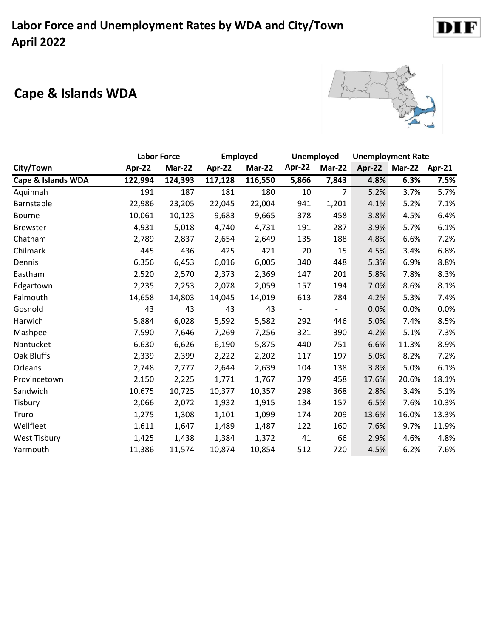# **Cape & Islands WDA**



|                     | <b>Labor Force</b> |         | <b>Employed</b> |         |                          | Unemployed     | <b>Unemployment Rate</b> |                      |         |
|---------------------|--------------------|---------|-----------------|---------|--------------------------|----------------|--------------------------|----------------------|---------|
| City/Town           | Apr-22             | Mar-22  | Apr-22          | Mar-22  | Apr-22                   | <b>Mar-22</b>  |                          | Apr-22 Mar-22 Apr-21 |         |
| Cape & Islands WDA  | 122,994            | 124,393 | 117,128         | 116,550 | 5,866                    | 7,843          | 4.8%                     | 6.3%                 | 7.5%    |
| Aquinnah            | 191                | 187     | 181             | 180     | 10                       | $\overline{7}$ | 5.2%                     | 3.7%                 | 5.7%    |
| Barnstable          | 22,986             | 23,205  | 22,045          | 22,004  | 941                      | 1,201          | 4.1%                     | 5.2%                 | 7.1%    |
| <b>Bourne</b>       | 10,061             | 10,123  | 9,683           | 9,665   | 378                      | 458            | 3.8%                     | 4.5%                 | 6.4%    |
| <b>Brewster</b>     | 4,931              | 5,018   | 4,740           | 4,731   | 191                      | 287            | 3.9%                     | 5.7%                 | 6.1%    |
| Chatham             | 2,789              | 2,837   | 2,654           | 2,649   | 135                      | 188            | 4.8%                     | 6.6%                 | 7.2%    |
| Chilmark            | 445                | 436     | 425             | 421     | 20                       | 15             | 4.5%                     | 3.4%                 | 6.8%    |
| Dennis              | 6,356              | 6,453   | 6,016           | 6,005   | 340                      | 448            | 5.3%                     | 6.9%                 | 8.8%    |
| Eastham             | 2,520              | 2,570   | 2,373           | 2,369   | 147                      | 201            | 5.8%                     | 7.8%                 | 8.3%    |
| Edgartown           | 2,235              | 2,253   | 2,078           | 2,059   | 157                      | 194            | 7.0%                     | 8.6%                 | 8.1%    |
| Falmouth            | 14,658             | 14,803  | 14,045          | 14,019  | 613                      | 784            | 4.2%                     | 5.3%                 | 7.4%    |
| Gosnold             | 43                 | 43      | 43              | 43      | $\overline{\phantom{0}}$ |                | 0.0%                     | 0.0%                 | $0.0\%$ |
| Harwich             | 5,884              | 6,028   | 5,592           | 5,582   | 292                      | 446            | 5.0%                     | 7.4%                 | 8.5%    |
| Mashpee             | 7,590              | 7,646   | 7,269           | 7,256   | 321                      | 390            | 4.2%                     | 5.1%                 | 7.3%    |
| Nantucket           | 6,630              | 6,626   | 6,190           | 5,875   | 440                      | 751            | 6.6%                     | 11.3%                | 8.9%    |
| Oak Bluffs          | 2,339              | 2,399   | 2,222           | 2,202   | 117                      | 197            | 5.0%                     | 8.2%                 | 7.2%    |
| Orleans             | 2,748              | 2,777   | 2,644           | 2,639   | 104                      | 138            | 3.8%                     | 5.0%                 | 6.1%    |
| Provincetown        | 2,150              | 2,225   | 1,771           | 1,767   | 379                      | 458            | 17.6%                    | 20.6%                | 18.1%   |
| Sandwich            | 10,675             | 10,725  | 10,377          | 10,357  | 298                      | 368            | 2.8%                     | 3.4%                 | 5.1%    |
| Tisbury             | 2,066              | 2,072   | 1,932           | 1,915   | 134                      | 157            | 6.5%                     | 7.6%                 | 10.3%   |
| Truro               | 1,275              | 1,308   | 1,101           | 1,099   | 174                      | 209            | 13.6%                    | 16.0%                | 13.3%   |
| Wellfleet           | 1,611              | 1,647   | 1,489           | 1,487   | 122                      | 160            | 7.6%                     | 9.7%                 | 11.9%   |
| <b>West Tisbury</b> | 1,425              | 1,438   | 1,384           | 1,372   | 41                       | 66             | 2.9%                     | 4.6%                 | 4.8%    |
| Yarmouth            | 11,386             | 11,574  | 10,874          | 10,854  | 512                      | 720            | 4.5%                     | 6.2%                 | 7.6%    |

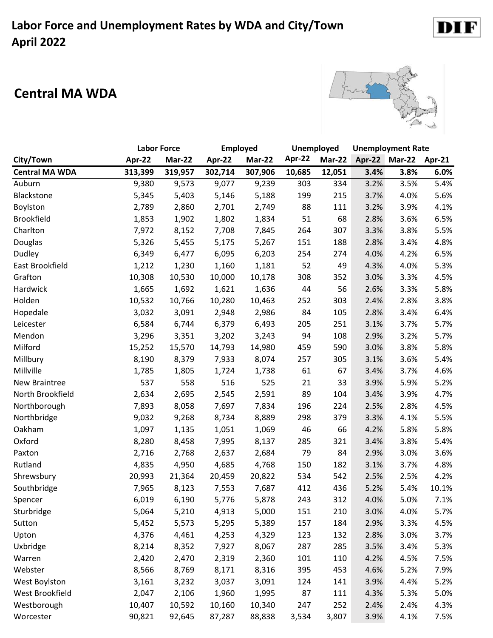#### **Central MA WDA**



DI

F

|                       |         | <b>Labor Force</b> |         | Employed      |        | Unemployed    |      | <b>Unemployment Rate</b> |        |
|-----------------------|---------|--------------------|---------|---------------|--------|---------------|------|--------------------------|--------|
| City/Town             | Apr-22  | Mar-22             | Apr-22  | <b>Mar-22</b> | Apr-22 | <b>Mar-22</b> |      | Apr-22 Mar-22            | Apr-21 |
| <b>Central MA WDA</b> | 313,399 | 319,957            | 302,714 | 307,906       | 10,685 | 12,051        | 3.4% | 3.8%                     | 6.0%   |
| Auburn                | 9,380   | 9,573              | 9,077   | 9,239         | 303    | 334           | 3.2% | 3.5%                     | 5.4%   |
| Blackstone            | 5,345   | 5,403              | 5,146   | 5,188         | 199    | 215           | 3.7% | 4.0%                     | 5.6%   |
| Boylston              | 2,789   | 2,860              | 2,701   | 2,749         | 88     | 111           | 3.2% | 3.9%                     | 4.1%   |
| <b>Brookfield</b>     | 1,853   | 1,902              | 1,802   | 1,834         | 51     | 68            | 2.8% | 3.6%                     | 6.5%   |
| Charlton              | 7,972   | 8,152              | 7,708   | 7,845         | 264    | 307           | 3.3% | 3.8%                     | 5.5%   |
| Douglas               | 5,326   | 5,455              | 5,175   | 5,267         | 151    | 188           | 2.8% | 3.4%                     | 4.8%   |
| Dudley                | 6,349   | 6,477              | 6,095   | 6,203         | 254    | 274           | 4.0% | 4.2%                     | 6.5%   |
| East Brookfield       | 1,212   | 1,230              | 1,160   | 1,181         | 52     | 49            | 4.3% | 4.0%                     | 5.3%   |
| Grafton               | 10,308  | 10,530             | 10,000  | 10,178        | 308    | 352           | 3.0% | 3.3%                     | 4.5%   |
| Hardwick              | 1,665   | 1,692              | 1,621   | 1,636         | 44     | 56            | 2.6% | 3.3%                     | 5.8%   |
| Holden                | 10,532  | 10,766             | 10,280  | 10,463        | 252    | 303           | 2.4% | 2.8%                     | 3.8%   |
| Hopedale              | 3,032   | 3,091              | 2,948   | 2,986         | 84     | 105           | 2.8% | 3.4%                     | 6.4%   |
| Leicester             | 6,584   | 6,744              | 6,379   | 6,493         | 205    | 251           | 3.1% | 3.7%                     | 5.7%   |
| Mendon                | 3,296   | 3,351              | 3,202   | 3,243         | 94     | 108           | 2.9% | 3.2%                     | 5.7%   |
| Milford               | 15,252  | 15,570             | 14,793  | 14,980        | 459    | 590           | 3.0% | 3.8%                     | 5.8%   |
| Millbury              | 8,190   | 8,379              | 7,933   | 8,074         | 257    | 305           | 3.1% | 3.6%                     | 5.4%   |
| Millville             | 1,785   | 1,805              | 1,724   | 1,738         | 61     | 67            | 3.4% | 3.7%                     | 4.6%   |
| New Braintree         | 537     | 558                | 516     | 525           | 21     | 33            | 3.9% | 5.9%                     | 5.2%   |
| North Brookfield      | 2,634   | 2,695              | 2,545   | 2,591         | 89     | 104           | 3.4% | 3.9%                     | 4.7%   |
| Northborough          | 7,893   | 8,058              | 7,697   | 7,834         | 196    | 224           | 2.5% | 2.8%                     | 4.5%   |
| Northbridge           | 9,032   | 9,268              | 8,734   | 8,889         | 298    | 379           | 3.3% | 4.1%                     | 5.5%   |
| Oakham                | 1,097   | 1,135              | 1,051   | 1,069         | 46     | 66            | 4.2% | 5.8%                     | 5.8%   |
| Oxford                | 8,280   | 8,458              | 7,995   | 8,137         | 285    | 321           | 3.4% | 3.8%                     | 5.4%   |
| Paxton                | 2,716   | 2,768              | 2,637   | 2,684         | 79     | 84            | 2.9% | 3.0%                     | 3.6%   |
| Rutland               | 4,835   | 4,950              | 4,685   | 4,768         | 150    | 182           | 3.1% | 3.7%                     | 4.8%   |
| Shrewsbury            | 20,993  | 21,364             | 20,459  | 20,822        | 534    | 542           | 2.5% | 2.5%                     | 4.2%   |
| Southbridge           | 7,965   | 8,123              | 7,553   | 7,687         | 412    | 436           | 5.2% | 5.4%                     | 10.1%  |
| Spencer               | 6,019   | 6,190              | 5,776   | 5,878         | 243    | 312           | 4.0% | 5.0%                     | 7.1%   |
| Sturbridge            | 5,064   | 5,210              | 4,913   | 5,000         | 151    | 210           | 3.0% | 4.0%                     | 5.7%   |
| Sutton                | 5,452   | 5,573              | 5,295   | 5,389         | 157    | 184           | 2.9% | 3.3%                     | 4.5%   |
| Upton                 | 4,376   | 4,461              | 4,253   | 4,329         | 123    | 132           | 2.8% | 3.0%                     | 3.7%   |
| Uxbridge              | 8,214   | 8,352              | 7,927   | 8,067         | 287    | 285           | 3.5% | 3.4%                     | 5.3%   |
| Warren                | 2,420   | 2,470              | 2,319   | 2,360         | 101    | 110           | 4.2% | 4.5%                     | 7.5%   |
| Webster               | 8,566   | 8,769              | 8,171   | 8,316         | 395    | 453           | 4.6% | 5.2%                     | 7.9%   |
| West Boylston         | 3,161   | 3,232              | 3,037   | 3,091         | 124    | 141           | 3.9% | 4.4%                     | 5.2%   |
| West Brookfield       | 2,047   | 2,106              | 1,960   | 1,995         | 87     | 111           | 4.3% | 5.3%                     | 5.0%   |
| Westborough           | 10,407  | 10,592             | 10,160  | 10,340        | 247    | 252           | 2.4% | 2.4%                     | 4.3%   |
| Worcester             | 90,821  | 92,645             | 87,287  | 88,838        | 3,534  | 3,807         | 3.9% | 4.1%                     | 7.5%   |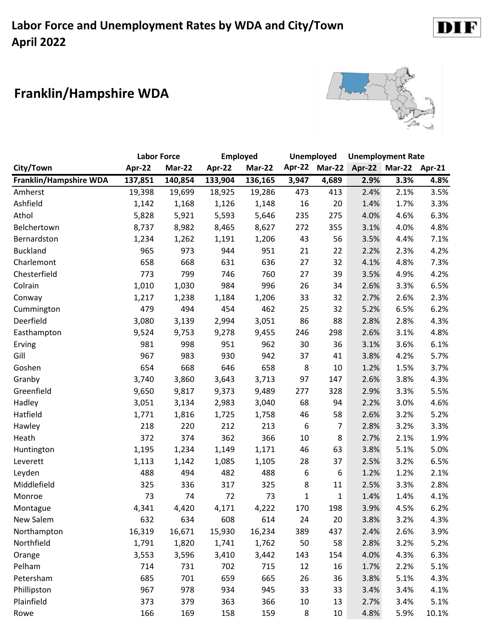# **Franklin/Hampshire WDA**



DI<sub>1</sub>

F

|                        | <b>Labor Force</b> |         | <b>Employed</b> |         |        | <b>Unemployed</b> |      | <b>Unemployment Rate</b> |       |
|------------------------|--------------------|---------|-----------------|---------|--------|-------------------|------|--------------------------|-------|
| City/Town              | Apr-22             | Mar-22  | Apr-22          | Mar-22  | Apr-22 | $Mar-22$          |      | Apr-22 Mar-22 Apr-21     |       |
| Franklin/Hampshire WDA | 137,851            | 140,854 | 133,904         | 136,165 | 3,947  | 4,689             | 2.9% | 3.3%                     | 4.8%  |
| Amherst                | 19,398             | 19,699  | 18,925          | 19,286  | 473    | 413               | 2.4% | 2.1%                     | 3.5%  |
| Ashfield               | 1,142              | 1,168   | 1,126           | 1,148   | 16     | 20                | 1.4% | 1.7%                     | 3.3%  |
| Athol                  | 5,828              | 5,921   | 5,593           | 5,646   | 235    | 275               | 4.0% | 4.6%                     | 6.3%  |
| Belchertown            | 8,737              | 8,982   | 8,465           | 8,627   | 272    | 355               | 3.1% | 4.0%                     | 4.8%  |
| Bernardston            | 1,234              | 1,262   | 1,191           | 1,206   | 43     | 56                | 3.5% | 4.4%                     | 7.1%  |
| <b>Buckland</b>        | 965                | 973     | 944             | 951     | 21     | 22                | 2.2% | 2.3%                     | 4.2%  |
| Charlemont             | 658                | 668     | 631             | 636     | 27     | 32                | 4.1% | 4.8%                     | 7.3%  |
| Chesterfield           | 773                | 799     | 746             | 760     | 27     | 39                | 3.5% | 4.9%                     | 4.2%  |
| Colrain                | 1,010              | 1,030   | 984             | 996     | 26     | 34                | 2.6% | 3.3%                     | 6.5%  |
| Conway                 | 1,217              | 1,238   | 1,184           | 1,206   | 33     | 32                | 2.7% | 2.6%                     | 2.3%  |
| Cummington             | 479                | 494     | 454             | 462     | 25     | 32                | 5.2% | 6.5%                     | 6.2%  |
| Deerfield              | 3,080              | 3,139   | 2,994           | 3,051   | 86     | 88                | 2.8% | 2.8%                     | 4.3%  |
| Easthampton            | 9,524              | 9,753   | 9,278           | 9,455   | 246    | 298               | 2.6% | 3.1%                     | 4.8%  |
| Erving                 | 981                | 998     | 951             | 962     | 30     | 36                | 3.1% | 3.6%                     | 6.1%  |
| Gill                   | 967                | 983     | 930             | 942     | 37     | 41                | 3.8% | 4.2%                     | 5.7%  |
| Goshen                 | 654                | 668     | 646             | 658     | 8      | 10                | 1.2% | 1.5%                     | 3.7%  |
| Granby                 | 3,740              | 3,860   | 3,643           | 3,713   | 97     | 147               | 2.6% | 3.8%                     | 4.3%  |
| Greenfield             | 9,650              | 9,817   | 9,373           | 9,489   | 277    | 328               | 2.9% | 3.3%                     | 5.5%  |
| Hadley                 | 3,051              | 3,134   | 2,983           | 3,040   | 68     | 94                | 2.2% | 3.0%                     | 4.6%  |
| Hatfield               | 1,771              | 1,816   | 1,725           | 1,758   | 46     | 58                | 2.6% | 3.2%                     | 5.2%  |
| Hawley                 | 218                | 220     | 212             | 213     | 6      | $\overline{7}$    | 2.8% | 3.2%                     | 3.3%  |
| Heath                  | 372                | 374     | 362             | 366     | 10     | 8                 | 2.7% | 2.1%                     | 1.9%  |
| Huntington             | 1,195              | 1,234   | 1,149           | 1,171   | 46     | 63                | 3.8% | 5.1%                     | 5.0%  |
| Leverett               | 1,113              | 1,142   | 1,085           | 1,105   | 28     | 37                | 2.5% | 3.2%                     | 6.5%  |
| Leyden                 | 488                | 494     | 482             | 488     | 6      | 6                 | 1.2% | 1.2%                     | 2.1%  |
| Middlefield            | 325                | 336     | 317             | 325     | 8      | 11                | 2.5% | 3.3%                     | 2.8%  |
| Monroe                 | 73                 | 74      | 72              | 73      | 1      | $\mathbf{1}$      | 1.4% | 1.4%                     | 4.1%  |
| Montague               | 4,341              | 4,420   | 4,171           | 4,222   | 170    | 198               | 3.9% | 4.5%                     | 6.2%  |
| New Salem              | 632                | 634     | 608             | 614     | 24     | 20                | 3.8% | 3.2%                     | 4.3%  |
| Northampton            | 16,319             | 16,671  | 15,930          | 16,234  | 389    | 437               | 2.4% | 2.6%                     | 3.9%  |
| Northfield             | 1,791              | 1,820   | 1,741           | 1,762   | 50     | 58                | 2.8% | 3.2%                     | 5.2%  |
| Orange                 | 3,553              | 3,596   | 3,410           | 3,442   | 143    | 154               | 4.0% | 4.3%                     | 6.3%  |
| Pelham                 | 714                | 731     | 702             | 715     | 12     | 16                | 1.7% | 2.2%                     | 5.1%  |
| Petersham              | 685                | 701     | 659             | 665     | 26     | 36                | 3.8% | 5.1%                     | 4.3%  |
| Phillipston            | 967                | 978     | 934             | 945     | 33     | 33                | 3.4% | 3.4%                     | 4.1%  |
| Plainfield             | 373                | 379     | 363             | 366     | $10\,$ | 13                | 2.7% | 3.4%                     | 5.1%  |
| Rowe                   | 166                | 169     | 158             | 159     | 8      | 10                | 4.8% | 5.9%                     | 10.1% |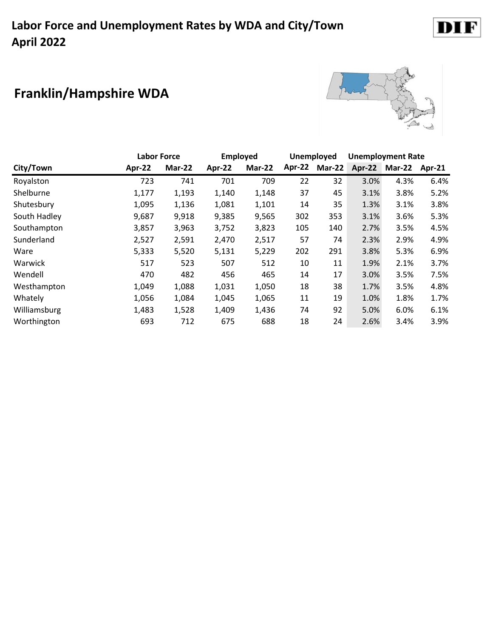# **Franklin/Hampshire WDA**



|              |        | <b>Labor Force</b> | <b>Employed</b> |        |        | <b>Unemployed</b> |        | <b>Unemployment Rate</b> |        |
|--------------|--------|--------------------|-----------------|--------|--------|-------------------|--------|--------------------------|--------|
| City/Town    | Apr-22 | Mar-22             | Apr-22          | Mar-22 | Apr-22 | <b>Mar-22</b>     | Apr-22 | <b>Mar-22</b>            | Apr-21 |
| Royalston    | 723    | 741                | 701             | 709    | 22     | 32                | 3.0%   | 4.3%                     | 6.4%   |
| Shelburne    | 1,177  | 1,193              | 1,140           | 1,148  | 37     | 45                | 3.1%   | 3.8%                     | 5.2%   |
| Shutesbury   | 1,095  | 1,136              | 1,081           | 1,101  | 14     | 35                | 1.3%   | 3.1%                     | 3.8%   |
| South Hadley | 9,687  | 9,918              | 9,385           | 9,565  | 302    | 353               | 3.1%   | 3.6%                     | 5.3%   |
| Southampton  | 3,857  | 3,963              | 3,752           | 3,823  | 105    | 140               | 2.7%   | 3.5%                     | 4.5%   |
| Sunderland   | 2,527  | 2,591              | 2,470           | 2,517  | 57     | 74                | 2.3%   | 2.9%                     | 4.9%   |
| Ware         | 5,333  | 5,520              | 5,131           | 5,229  | 202    | 291               | 3.8%   | 5.3%                     | 6.9%   |
| Warwick      | 517    | 523                | 507             | 512    | 10     | 11                | 1.9%   | 2.1%                     | 3.7%   |
| Wendell      | 470    | 482                | 456             | 465    | 14     | 17                | 3.0%   | 3.5%                     | 7.5%   |
| Westhampton  | 1,049  | 1,088              | 1,031           | 1,050  | 18     | 38                | 1.7%   | 3.5%                     | 4.8%   |
| Whately      | 1,056  | 1,084              | 1,045           | 1,065  | 11     | 19                | 1.0%   | 1.8%                     | 1.7%   |
| Williamsburg | 1,483  | 1,528              | 1,409           | 1,436  | 74     | 92                | 5.0%   | 6.0%                     | 6.1%   |
| Worthington  | 693    | 712                | 675             | 688    | 18     | 24                | 2.6%   | 3.4%                     | 3.9%   |

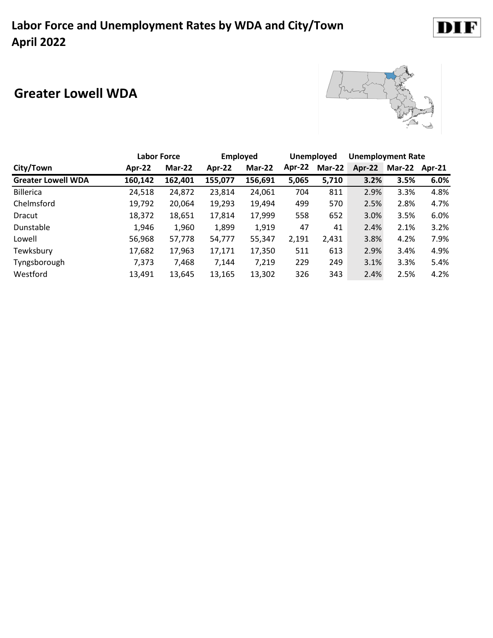#### **Greater Lowell WDA**



|                           |         | <b>Labor Force</b> |         | <b>Employed</b> |        | Unemployed | <b>Unemployment Rate</b> |                      |      |
|---------------------------|---------|--------------------|---------|-----------------|--------|------------|--------------------------|----------------------|------|
| City/Town                 | Apr-22  | Mar-22             | Apr-22  | Mar-22          | Apr-22 | Mar-22     | Apr-22                   | <b>Mar-22 Apr-21</b> |      |
| <b>Greater Lowell WDA</b> | 160,142 | 162,401            | 155,077 | 156,691         | 5,065  | 5,710      | 3.2%                     | 3.5%                 | 6.0% |
| <b>Billerica</b>          | 24,518  | 24,872             | 23,814  | 24,061          | 704    | 811        | 2.9%                     | 3.3%                 | 4.8% |
| Chelmsford                | 19,792  | 20,064             | 19,293  | 19,494          | 499    | 570        | 2.5%                     | 2.8%                 | 4.7% |
| Dracut                    | 18,372  | 18,651             | 17,814  | 17,999          | 558    | 652        | 3.0%                     | 3.5%                 | 6.0% |
| Dunstable                 | 1,946   | 1,960              | 1,899   | 1,919           | 47     | 41         | 2.4%                     | 2.1%                 | 3.2% |
| Lowell                    | 56,968  | 57,778             | 54,777  | 55,347          | 2,191  | 2,431      | 3.8%                     | 4.2%                 | 7.9% |
| Tewksbury                 | 17,682  | 17,963             | 17,171  | 17,350          | 511    | 613        | 2.9%                     | 3.4%                 | 4.9% |
| Tyngsborough              | 7,373   | 7,468              | 7,144   | 7,219           | 229    | 249        | 3.1%                     | 3.3%                 | 5.4% |
| Westford                  | 13,491  | 13,645             | 13,165  | 13,302          | 326    | 343        | 2.4%                     | 2.5%                 | 4.2% |

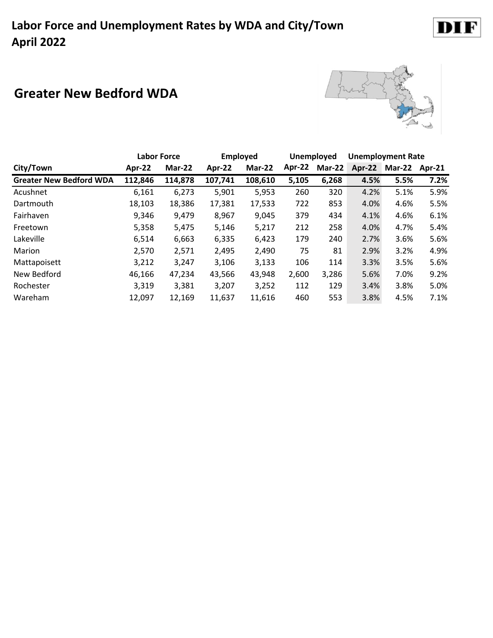### **Greater New Bedford WDA**



|                                | <b>Labor Force</b> |         | <b>Employed</b> |         |        | Unemployed    |        | <b>Unemployment Rate</b> |        |
|--------------------------------|--------------------|---------|-----------------|---------|--------|---------------|--------|--------------------------|--------|
| City/Town                      | Apr-22             | Mar-22  | Apr-22          | Mar-22  | Apr-22 | <b>Mar-22</b> | Apr-22 | Mar-22                   | Apr-21 |
| <b>Greater New Bedford WDA</b> | 112,846            | 114,878 | 107,741         | 108,610 | 5,105  | 6,268         | 4.5%   | 5.5%                     | 7.2%   |
| Acushnet                       | 6,161              | 6,273   | 5,901           | 5,953   | 260    | 320           | 4.2%   | 5.1%                     | 5.9%   |
| Dartmouth                      | 18,103             | 18,386  | 17,381          | 17,533  | 722    | 853           | 4.0%   | 4.6%                     | 5.5%   |
| Fairhaven                      | 9,346              | 9,479   | 8,967           | 9,045   | 379    | 434           | 4.1%   | 4.6%                     | 6.1%   |
| Freetown                       | 5,358              | 5,475   | 5,146           | 5,217   | 212    | 258           | 4.0%   | 4.7%                     | 5.4%   |
| Lakeville                      | 6,514              | 6,663   | 6,335           | 6,423   | 179    | 240           | 2.7%   | 3.6%                     | 5.6%   |
| Marion                         | 2,570              | 2,571   | 2,495           | 2,490   | 75     | 81            | 2.9%   | 3.2%                     | 4.9%   |
| Mattapoisett                   | 3,212              | 3,247   | 3,106           | 3,133   | 106    | 114           | 3.3%   | 3.5%                     | 5.6%   |
| New Bedford                    | 46,166             | 47,234  | 43,566          | 43,948  | 2,600  | 3,286         | 5.6%   | 7.0%                     | 9.2%   |
| Rochester                      | 3,319              | 3,381   | 3,207           | 3,252   | 112    | 129           | 3.4%   | 3.8%                     | 5.0%   |
| Wareham                        | 12,097             | 12,169  | 11,637          | 11,616  | 460    | 553           | 3.8%   | 4.5%                     | 7.1%   |

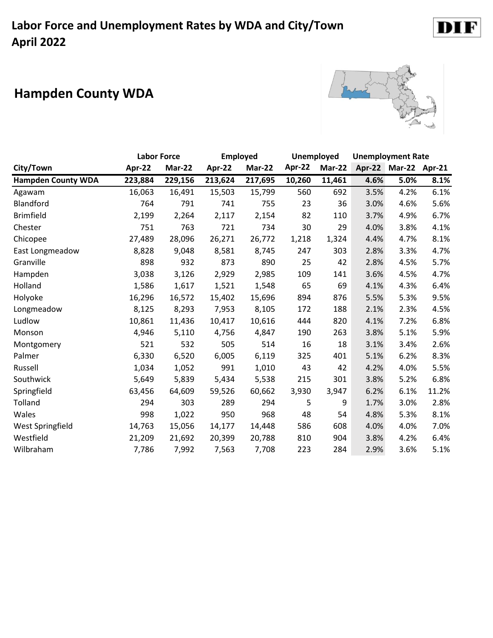# **Hampden County WDA**



|                           | <b>Labor Force</b> |         | <b>Employed</b> |         |        | <b>Unemployed</b> |      | <b>Unemployment Rate</b> |       |
|---------------------------|--------------------|---------|-----------------|---------|--------|-------------------|------|--------------------------|-------|
| City/Town                 | Apr-22             | Mar-22  | Apr-22          | Mar-22  | Apr-22 | <b>Mar-22</b>     |      | Apr-22 Mar-22 Apr-21     |       |
| <b>Hampden County WDA</b> | 223,884            | 229,156 | 213,624         | 217,695 | 10,260 | 11,461            | 4.6% | 5.0%                     | 8.1%  |
| Agawam                    | 16,063             | 16,491  | 15,503          | 15,799  | 560    | 692               | 3.5% | 4.2%                     | 6.1%  |
| Blandford                 | 764                | 791     | 741             | 755     | 23     | 36                | 3.0% | 4.6%                     | 5.6%  |
| <b>Brimfield</b>          | 2,199              | 2,264   | 2,117           | 2,154   | 82     | 110               | 3.7% | 4.9%                     | 6.7%  |
| Chester                   | 751                | 763     | 721             | 734     | 30     | 29                | 4.0% | 3.8%                     | 4.1%  |
| Chicopee                  | 27,489             | 28,096  | 26,271          | 26,772  | 1,218  | 1,324             | 4.4% | 4.7%                     | 8.1%  |
| East Longmeadow           | 8,828              | 9,048   | 8,581           | 8,745   | 247    | 303               | 2.8% | 3.3%                     | 4.7%  |
| Granville                 | 898                | 932     | 873             | 890     | 25     | 42                | 2.8% | 4.5%                     | 5.7%  |
| Hampden                   | 3,038              | 3,126   | 2,929           | 2,985   | 109    | 141               | 3.6% | 4.5%                     | 4.7%  |
| Holland                   | 1,586              | 1,617   | 1,521           | 1,548   | 65     | 69                | 4.1% | 4.3%                     | 6.4%  |
| Holyoke                   | 16,296             | 16,572  | 15,402          | 15,696  | 894    | 876               | 5.5% | 5.3%                     | 9.5%  |
| Longmeadow                | 8,125              | 8,293   | 7,953           | 8,105   | 172    | 188               | 2.1% | 2.3%                     | 4.5%  |
| Ludlow                    | 10,861             | 11,436  | 10,417          | 10,616  | 444    | 820               | 4.1% | 7.2%                     | 6.8%  |
| Monson                    | 4,946              | 5,110   | 4,756           | 4,847   | 190    | 263               | 3.8% | 5.1%                     | 5.9%  |
| Montgomery                | 521                | 532     | 505             | 514     | 16     | 18                | 3.1% | 3.4%                     | 2.6%  |
| Palmer                    | 6,330              | 6,520   | 6,005           | 6,119   | 325    | 401               | 5.1% | 6.2%                     | 8.3%  |
| Russell                   | 1,034              | 1,052   | 991             | 1,010   | 43     | 42                | 4.2% | 4.0%                     | 5.5%  |
| Southwick                 | 5,649              | 5,839   | 5,434           | 5,538   | 215    | 301               | 3.8% | 5.2%                     | 6.8%  |
| Springfield               | 63,456             | 64,609  | 59,526          | 60,662  | 3,930  | 3,947             | 6.2% | 6.1%                     | 11.2% |
| Tolland                   | 294                | 303     | 289             | 294     | 5      | 9                 | 1.7% | 3.0%                     | 2.8%  |
| Wales                     | 998                | 1,022   | 950             | 968     | 48     | 54                | 4.8% | 5.3%                     | 8.1%  |
| West Springfield          | 14,763             | 15,056  | 14,177          | 14,448  | 586    | 608               | 4.0% | 4.0%                     | 7.0%  |
| Westfield                 | 21,209             | 21,692  | 20,399          | 20,788  | 810    | 904               | 3.8% | 4.2%                     | 6.4%  |
| Wilbraham                 | 7,786              | 7,992   | 7,563           | 7,708   | 223    | 284               | 2.9% | 3.6%                     | 5.1%  |

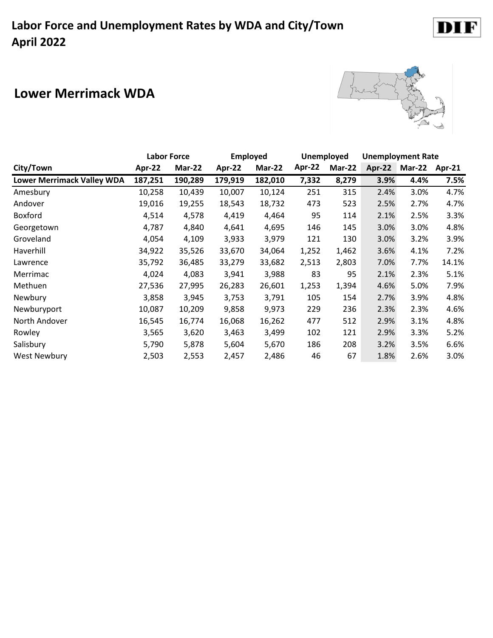#### **Lower Merrimack WDA**



|                                   | <b>Labor Force</b> |         | <b>Employed</b> |         | <b>Unemployed</b> |        | <b>Unemployment Rate</b> |        |        |
|-----------------------------------|--------------------|---------|-----------------|---------|-------------------|--------|--------------------------|--------|--------|
| City/Town                         | Apr-22             | Mar-22  | Apr-22          | Mar-22  | Apr-22            | Mar-22 | Apr-22                   | Mar-22 | Apr-21 |
| <b>Lower Merrimack Valley WDA</b> | 187,251            | 190,289 | 179,919         | 182,010 | 7,332             | 8,279  | 3.9%                     | 4.4%   | 7.5%   |
| Amesbury                          | 10,258             | 10,439  | 10,007          | 10,124  | 251               | 315    | 2.4%                     | 3.0%   | 4.7%   |
| Andover                           | 19,016             | 19,255  | 18,543          | 18,732  | 473               | 523    | 2.5%                     | 2.7%   | 4.7%   |
| Boxford                           | 4,514              | 4,578   | 4,419           | 4,464   | 95                | 114    | 2.1%                     | 2.5%   | 3.3%   |
| Georgetown                        | 4,787              | 4,840   | 4,641           | 4,695   | 146               | 145    | 3.0%                     | 3.0%   | 4.8%   |
| Groveland                         | 4,054              | 4,109   | 3,933           | 3,979   | 121               | 130    | 3.0%                     | 3.2%   | 3.9%   |
| Haverhill                         | 34,922             | 35,526  | 33,670          | 34,064  | 1,252             | 1,462  | 3.6%                     | 4.1%   | 7.2%   |
| Lawrence                          | 35,792             | 36,485  | 33,279          | 33,682  | 2,513             | 2,803  | 7.0%                     | 7.7%   | 14.1%  |
| Merrimac                          | 4,024              | 4,083   | 3,941           | 3,988   | 83                | 95     | 2.1%                     | 2.3%   | 5.1%   |
| Methuen                           | 27,536             | 27,995  | 26,283          | 26,601  | 1,253             | 1,394  | 4.6%                     | 5.0%   | 7.9%   |
| Newbury                           | 3,858              | 3,945   | 3,753           | 3,791   | 105               | 154    | 2.7%                     | 3.9%   | 4.8%   |
| Newburyport                       | 10,087             | 10,209  | 9,858           | 9,973   | 229               | 236    | 2.3%                     | 2.3%   | 4.6%   |
| North Andover                     | 16,545             | 16,774  | 16,068          | 16,262  | 477               | 512    | 2.9%                     | 3.1%   | 4.8%   |
| Rowley                            | 3,565              | 3,620   | 3,463           | 3,499   | 102               | 121    | 2.9%                     | 3.3%   | 5.2%   |
| Salisbury                         | 5,790              | 5,878   | 5,604           | 5,670   | 186               | 208    | 3.2%                     | 3.5%   | 6.6%   |
| <b>West Newbury</b>               | 2,503              | 2,553   | 2,457           | 2,486   | 46                | 67     | 1.8%                     | 2.6%   | 3.0%   |

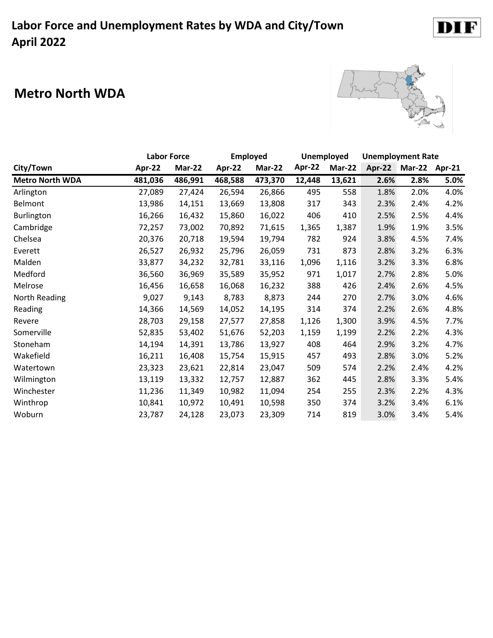#### **Metro North WDA**



|                        | <b>Labor Force</b> |         | <b>Employed</b> |         | <b>Unemployed</b> |        | <b>Unemployment Rate</b> |               |        |
|------------------------|--------------------|---------|-----------------|---------|-------------------|--------|--------------------------|---------------|--------|
| City/Town              | Apr-22             | Mar-22  | Apr-22          | Mar-22  | Apr-22            | Mar-22 | Apr-22                   | <b>Mar-22</b> | Apr-21 |
| <b>Metro North WDA</b> | 481,036            | 486,991 | 468,588         | 473,370 | 12,448            | 13,621 | 2.6%                     | 2.8%          | 5.0%   |
| Arlington              | 27,089             | 27,424  | 26,594          | 26,866  | 495               | 558    | 1.8%                     | 2.0%          | 4.0%   |
| Belmont                | 13,986             | 14,151  | 13,669          | 13,808  | 317               | 343    | 2.3%                     | 2.4%          | 4.2%   |
| Burlington             | 16,266             | 16,432  | 15,860          | 16,022  | 406               | 410    | 2.5%                     | 2.5%          | 4.4%   |
| Cambridge              | 72,257             | 73,002  | 70,892          | 71,615  | 1,365             | 1,387  | 1.9%                     | 1.9%          | 3.5%   |
| Chelsea                | 20,376             | 20,718  | 19,594          | 19,794  | 782               | 924    | 3.8%                     | 4.5%          | 7.4%   |
| Everett                | 26,527             | 26,932  | 25,796          | 26,059  | 731               | 873    | 2.8%                     | 3.2%          | 6.3%   |
| Malden                 | 33,877             | 34,232  | 32,781          | 33,116  | 1,096             | 1,116  | 3.2%                     | 3.3%          | 6.8%   |
| Medford                | 36,560             | 36,969  | 35,589          | 35,952  | 971               | 1,017  | 2.7%                     | 2.8%          | 5.0%   |
| Melrose                | 16,456             | 16,658  | 16,068          | 16,232  | 388               | 426    | 2.4%                     | 2.6%          | 4.5%   |
| North Reading          | 9,027              | 9,143   | 8,783           | 8,873   | 244               | 270    | 2.7%                     | 3.0%          | 4.6%   |
| Reading                | 14,366             | 14,569  | 14,052          | 14,195  | 314               | 374    | 2.2%                     | 2.6%          | 4.8%   |
| Revere                 | 28,703             | 29,158  | 27,577          | 27,858  | 1,126             | 1,300  | 3.9%                     | 4.5%          | 7.7%   |
| Somerville             | 52,835             | 53,402  | 51,676          | 52,203  | 1,159             | 1,199  | 2.2%                     | 2.2%          | 4.3%   |
| Stoneham               | 14,194             | 14,391  | 13,786          | 13,927  | 408               | 464    | 2.9%                     | 3.2%          | 4.7%   |
| Wakefield              | 16,211             | 16,408  | 15,754          | 15,915  | 457               | 493    | 2.8%                     | 3.0%          | 5.2%   |
| Watertown              | 23,323             | 23,621  | 22,814          | 23,047  | 509               | 574    | 2.2%                     | 2.4%          | 4.2%   |
| Wilmington             | 13,119             | 13,332  | 12,757          | 12,887  | 362               | 445    | 2.8%                     | 3.3%          | 5.4%   |
| Winchester             | 11,236             | 11,349  | 10,982          | 11,094  | 254               | 255    | 2.3%                     | 2.2%          | 4.3%   |
| Winthrop               | 10,841             | 10,972  | 10,491          | 10,598  | 350               | 374    | 3.2%                     | 3.4%          | 6.1%   |
| Woburn                 | 23,787             | 24,128  | 23,073          | 23,309  | 714               | 819    | 3.0%                     | 3.4%          | 5.4%   |

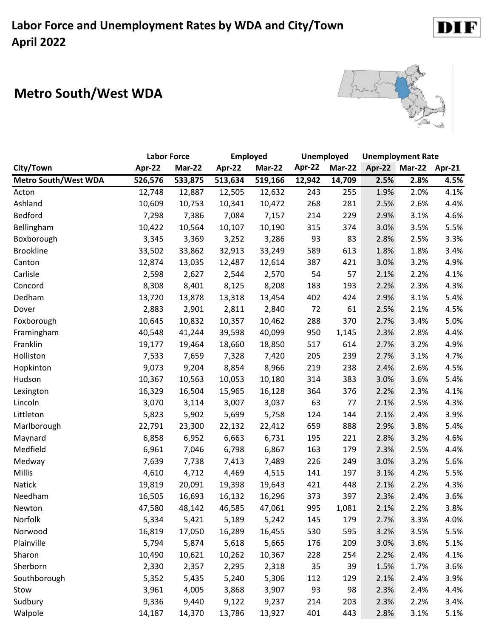# **Metro South/West WDA**



|                             | <b>Labor Force</b> |               | <b>Employed</b> |               | Unemployed |        | <b>Unemployment Rate</b> |                      |      |  |
|-----------------------------|--------------------|---------------|-----------------|---------------|------------|--------|--------------------------|----------------------|------|--|
| City/Town                   | Apr-22             | <b>Mar-22</b> | Apr-22          | <b>Mar-22</b> | Apr-22     | Mar-22 |                          | Apr-22 Mar-22 Apr-21 |      |  |
| <b>Metro South/West WDA</b> | 526,576            | 533,875       | 513,634         | 519,166       | 12,942     | 14,709 | 2.5%                     | 2.8%                 | 4.5% |  |
| Acton                       | 12,748             | 12,887        | 12,505          | 12,632        | 243        | 255    | 1.9%                     | 2.0%                 | 4.1% |  |
| Ashland                     | 10,609             | 10,753        | 10,341          | 10,472        | 268        | 281    | 2.5%                     | 2.6%                 | 4.4% |  |
| Bedford                     | 7,298              | 7,386         | 7,084           | 7,157         | 214        | 229    | 2.9%                     | 3.1%                 | 4.6% |  |
| Bellingham                  | 10,422             | 10,564        | 10,107          | 10,190        | 315        | 374    | 3.0%                     | 3.5%                 | 5.5% |  |
| Boxborough                  | 3,345              | 3,369         | 3,252           | 3,286         | 93         | 83     | 2.8%                     | 2.5%                 | 3.3% |  |
| <b>Brookline</b>            | 33,502             | 33,862        | 32,913          | 33,249        | 589        | 613    | 1.8%                     | 1.8%                 | 3.4% |  |
| Canton                      | 12,874             | 13,035        | 12,487          | 12,614        | 387        | 421    | 3.0%                     | 3.2%                 | 4.9% |  |
| Carlisle                    | 2,598              | 2,627         | 2,544           | 2,570         | 54         | 57     | 2.1%                     | 2.2%                 | 4.1% |  |
| Concord                     | 8,308              | 8,401         | 8,125           | 8,208         | 183        | 193    | 2.2%                     | 2.3%                 | 4.3% |  |
| Dedham                      | 13,720             | 13,878        | 13,318          | 13,454        | 402        | 424    | 2.9%                     | 3.1%                 | 5.4% |  |
| Dover                       | 2,883              | 2,901         | 2,811           | 2,840         | 72         | 61     | 2.5%                     | 2.1%                 | 4.5% |  |
| Foxborough                  | 10,645             | 10,832        | 10,357          | 10,462        | 288        | 370    | 2.7%                     | 3.4%                 | 5.0% |  |
| Framingham                  | 40,548             | 41,244        | 39,598          | 40,099        | 950        | 1,145  | 2.3%                     | 2.8%                 | 4.4% |  |
| Franklin                    | 19,177             | 19,464        | 18,660          | 18,850        | 517        | 614    | 2.7%                     | 3.2%                 | 4.9% |  |
| Holliston                   | 7,533              | 7,659         | 7,328           | 7,420         | 205        | 239    | 2.7%                     | 3.1%                 | 4.7% |  |
| Hopkinton                   | 9,073              | 9,204         | 8,854           | 8,966         | 219        | 238    | 2.4%                     | 2.6%                 | 4.5% |  |
| Hudson                      | 10,367             | 10,563        | 10,053          | 10,180        | 314        | 383    | 3.0%                     | 3.6%                 | 5.4% |  |
| Lexington                   | 16,329             | 16,504        | 15,965          | 16,128        | 364        | 376    | 2.2%                     | 2.3%                 | 4.1% |  |
| Lincoln                     | 3,070              | 3,114         | 3,007           | 3,037         | 63         | 77     | 2.1%                     | 2.5%                 | 4.3% |  |
| Littleton                   | 5,823              | 5,902         | 5,699           | 5,758         | 124        | 144    | 2.1%                     | 2.4%                 | 3.9% |  |
| Marlborough                 | 22,791             | 23,300        | 22,132          | 22,412        | 659        | 888    | 2.9%                     | 3.8%                 | 5.4% |  |
| Maynard                     | 6,858              | 6,952         | 6,663           | 6,731         | 195        | 221    | 2.8%                     | 3.2%                 | 4.6% |  |
| Medfield                    | 6,961              | 7,046         | 6,798           | 6,867         | 163        | 179    | 2.3%                     | 2.5%                 | 4.4% |  |
| Medway                      | 7,639              | 7,738         | 7,413           | 7,489         | 226        | 249    | 3.0%                     | 3.2%                 | 5.6% |  |
| Millis                      | 4,610              | 4,712         | 4,469           | 4,515         | 141        | 197    | 3.1%                     | 4.2%                 | 5.5% |  |
| Natick                      | 19,819             | 20,091        | 19,398          | 19,643        | 421        | 448    | 2.1%                     | 2.2%                 | 4.3% |  |
| Needham                     | 16,505             | 16,693        | 16,132          | 16,296        | 373        | 397    | 2.3%                     | 2.4%                 | 3.6% |  |
| Newton                      | 47,580             | 48,142        | 46,585          | 47,061        | 995        | 1,081  | 2.1%                     | 2.2%                 | 3.8% |  |
| Norfolk                     | 5,334              | 5,421         | 5,189           | 5,242         | 145        | 179    | 2.7%                     | 3.3%                 | 4.0% |  |
| Norwood                     | 16,819             | 17,050        | 16,289          | 16,455        | 530        | 595    | 3.2%                     | 3.5%                 | 5.5% |  |
| Plainville                  | 5,794              | 5,874         | 5,618           | 5,665         | 176        | 209    | 3.0%                     | 3.6%                 | 5.1% |  |
| Sharon                      | 10,490             | 10,621        | 10,262          | 10,367        | 228        | 254    | 2.2%                     | 2.4%                 | 4.1% |  |
| Sherborn                    | 2,330              | 2,357         | 2,295           | 2,318         | 35         | 39     | 1.5%                     | 1.7%                 | 3.6% |  |
| Southborough                | 5,352              | 5,435         | 5,240           | 5,306         | 112        | 129    | 2.1%                     | 2.4%                 | 3.9% |  |
| Stow                        | 3,961              | 4,005         | 3,868           | 3,907         | 93         | 98     | 2.3%                     | 2.4%                 | 4.4% |  |
| Sudbury                     | 9,336              | 9,440         | 9,122           | 9,237         | 214        | 203    | 2.3%                     | 2.2%                 | 3.4% |  |
| Walpole                     | 14,187             | 14,370        | 13,786          | 13,927        | 401        | 443    | 2.8%                     | 3.1%                 | 5.1% |  |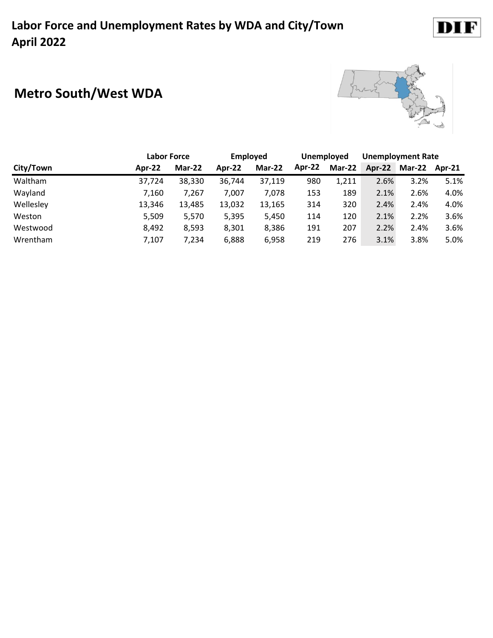# **Metro South/West WDA**



|           | <b>Labor Force</b> |        | <b>Employed</b> |        | <b>Unemployed</b> |        | <b>Unemployment Rate</b> |               |        |
|-----------|--------------------|--------|-----------------|--------|-------------------|--------|--------------------------|---------------|--------|
| City/Town | Apr-22             | Mar-22 | Apr-22          | Mar-22 | Apr-22            | Mar-22 |                          | Apr-22 Mar-22 | Apr-21 |
| Waltham   | 37,724             | 38,330 | 36,744          | 37,119 | 980               | 1,211  | 2.6%                     | 3.2%          | 5.1%   |
| Wayland   | 7,160              | 7,267  | 7,007           | 7,078  | 153               | 189    | 2.1%                     | 2.6%          | 4.0%   |
| Wellesley | 13,346             | 13,485 | 13,032          | 13,165 | 314               | 320    | 2.4%                     | 2.4%          | 4.0%   |
| Weston    | 5,509              | 5,570  | 5,395           | 5,450  | 114               | 120    | 2.1%                     | 2.2%          | 3.6%   |
| Westwood  | 8,492              | 8,593  | 8,301           | 8,386  | 191               | 207    | 2.2%                     | 2.4%          | 3.6%   |
| Wrentham  | 7,107              | 7,234  | 6,888           | 6,958  | 219               | 276    | 3.1%                     | 3.8%          | 5.0%   |

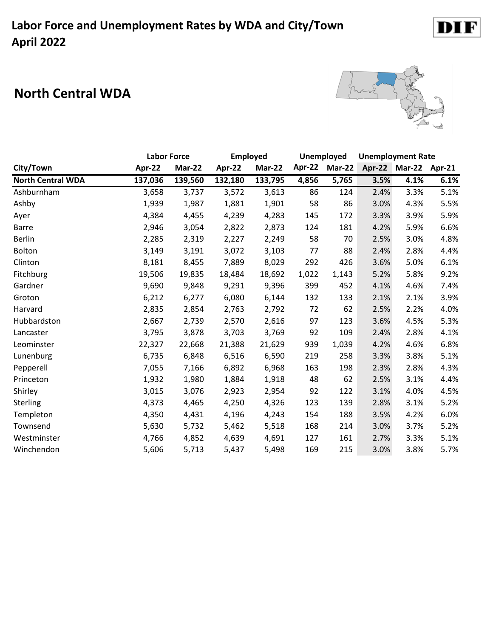#### **North Central WDA**



|                          | <b>Labor Force</b> |         | <b>Employed</b> |         | Unemployed |               | <b>Unemployment Rate</b> |                      |      |
|--------------------------|--------------------|---------|-----------------|---------|------------|---------------|--------------------------|----------------------|------|
| City/Town                | Apr-22             | Mar-22  | Apr-22          | Mar-22  | Apr-22     | <b>Mar-22</b> |                          | Apr-22 Mar-22 Apr-21 |      |
| <b>North Central WDA</b> | 137,036            | 139,560 | 132,180         | 133,795 | 4,856      | 5,765         | 3.5%                     | 4.1%                 | 6.1% |
| Ashburnham               | 3,658              | 3,737   | 3,572           | 3,613   | 86         | 124           | 2.4%                     | 3.3%                 | 5.1% |
| Ashby                    | 1,939              | 1,987   | 1,881           | 1,901   | 58         | 86            | 3.0%                     | 4.3%                 | 5.5% |
| Ayer                     | 4,384              | 4,455   | 4,239           | 4,283   | 145        | 172           | 3.3%                     | 3.9%                 | 5.9% |
| <b>Barre</b>             | 2,946              | 3,054   | 2,822           | 2,873   | 124        | 181           | 4.2%                     | 5.9%                 | 6.6% |
| <b>Berlin</b>            | 2,285              | 2,319   | 2,227           | 2,249   | 58         | 70            | 2.5%                     | 3.0%                 | 4.8% |
| Bolton                   | 3,149              | 3,191   | 3,072           | 3,103   | 77         | 88            | 2.4%                     | 2.8%                 | 4.4% |
| Clinton                  | 8,181              | 8,455   | 7,889           | 8,029   | 292        | 426           | 3.6%                     | 5.0%                 | 6.1% |
| Fitchburg                | 19,506             | 19,835  | 18,484          | 18,692  | 1,022      | 1,143         | 5.2%                     | 5.8%                 | 9.2% |
| Gardner                  | 9,690              | 9,848   | 9,291           | 9,396   | 399        | 452           | 4.1%                     | 4.6%                 | 7.4% |
| Groton                   | 6,212              | 6,277   | 6,080           | 6,144   | 132        | 133           | 2.1%                     | 2.1%                 | 3.9% |
| Harvard                  | 2,835              | 2,854   | 2,763           | 2,792   | 72         | 62            | 2.5%                     | 2.2%                 | 4.0% |
| Hubbardston              | 2,667              | 2,739   | 2,570           | 2,616   | 97         | 123           | 3.6%                     | 4.5%                 | 5.3% |
| Lancaster                | 3,795              | 3,878   | 3,703           | 3,769   | 92         | 109           | 2.4%                     | 2.8%                 | 4.1% |
| Leominster               | 22,327             | 22,668  | 21,388          | 21,629  | 939        | 1,039         | 4.2%                     | 4.6%                 | 6.8% |
| Lunenburg                | 6,735              | 6,848   | 6,516           | 6,590   | 219        | 258           | 3.3%                     | 3.8%                 | 5.1% |
| Pepperell                | 7,055              | 7,166   | 6,892           | 6,968   | 163        | 198           | 2.3%                     | 2.8%                 | 4.3% |
| Princeton                | 1,932              | 1,980   | 1,884           | 1,918   | 48         | 62            | 2.5%                     | 3.1%                 | 4.4% |
| Shirley                  | 3,015              | 3,076   | 2,923           | 2,954   | 92         | 122           | 3.1%                     | 4.0%                 | 4.5% |
| Sterling                 | 4,373              | 4,465   | 4,250           | 4,326   | 123        | 139           | 2.8%                     | 3.1%                 | 5.2% |
| Templeton                | 4,350              | 4,431   | 4,196           | 4,243   | 154        | 188           | 3.5%                     | 4.2%                 | 6.0% |
| Townsend                 | 5,630              | 5,732   | 5,462           | 5,518   | 168        | 214           | 3.0%                     | 3.7%                 | 5.2% |
| Westminster              | 4,766              | 4,852   | 4,639           | 4,691   | 127        | 161           | 2.7%                     | 3.3%                 | 5.1% |
| Winchendon               | 5,606              | 5,713   | 5,437           | 5,498   | 169        | 215           | 3.0%                     | 3.8%                 | 5.7% |

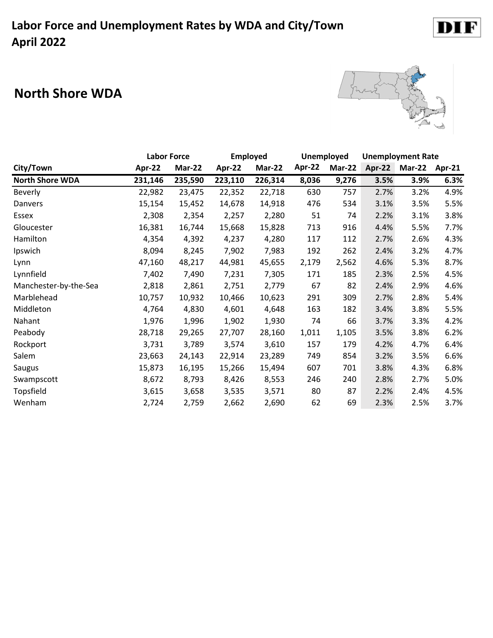### **North Shore WDA**



DI<sub>1</sub>

F

|                        | <b>Labor Force</b> |               | <b>Employed</b> |               | Unemployed |               | <b>Unemployment Rate</b> |               |        |
|------------------------|--------------------|---------------|-----------------|---------------|------------|---------------|--------------------------|---------------|--------|
| City/Town              | Apr-22             | <b>Mar-22</b> | Apr-22          | <b>Mar-22</b> | Apr-22     | <b>Mar-22</b> | Apr-22                   | <b>Mar-22</b> | Apr-21 |
| <b>North Shore WDA</b> | 231,146            | 235,590       | 223,110         | 226,314       | 8,036      | 9,276         | 3.5%                     | 3.9%          | 6.3%   |
| <b>Beverly</b>         | 22,982             | 23,475        | 22,352          | 22,718        | 630        | 757           | 2.7%                     | 3.2%          | 4.9%   |
| Danvers                | 15,154             | 15,452        | 14,678          | 14,918        | 476        | 534           | 3.1%                     | 3.5%          | 5.5%   |
| Essex                  | 2,308              | 2,354         | 2,257           | 2,280         | 51         | 74            | 2.2%                     | 3.1%          | 3.8%   |
| Gloucester             | 16,381             | 16,744        | 15,668          | 15,828        | 713        | 916           | 4.4%                     | 5.5%          | 7.7%   |
| Hamilton               | 4,354              | 4,392         | 4,237           | 4,280         | 117        | 112           | 2.7%                     | 2.6%          | 4.3%   |
| Ipswich                | 8,094              | 8,245         | 7,902           | 7,983         | 192        | 262           | 2.4%                     | 3.2%          | 4.7%   |
| Lynn                   | 47,160             | 48,217        | 44,981          | 45,655        | 2,179      | 2,562         | 4.6%                     | 5.3%          | 8.7%   |
| Lynnfield              | 7,402              | 7,490         | 7,231           | 7,305         | 171        | 185           | 2.3%                     | 2.5%          | 4.5%   |
| Manchester-by-the-Sea  | 2,818              | 2,861         | 2,751           | 2,779         | 67         | 82            | 2.4%                     | 2.9%          | 4.6%   |
| Marblehead             | 10,757             | 10,932        | 10,466          | 10,623        | 291        | 309           | 2.7%                     | 2.8%          | 5.4%   |
| Middleton              | 4,764              | 4,830         | 4,601           | 4,648         | 163        | 182           | 3.4%                     | 3.8%          | 5.5%   |
| Nahant                 | 1,976              | 1,996         | 1,902           | 1,930         | 74         | 66            | 3.7%                     | 3.3%          | 4.2%   |
| Peabody                | 28,718             | 29,265        | 27,707          | 28,160        | 1,011      | 1,105         | 3.5%                     | 3.8%          | 6.2%   |
| Rockport               | 3,731              | 3,789         | 3,574           | 3,610         | 157        | 179           | 4.2%                     | 4.7%          | 6.4%   |
| Salem                  | 23,663             | 24,143        | 22,914          | 23,289        | 749        | 854           | 3.2%                     | 3.5%          | 6.6%   |
| Saugus                 | 15,873             | 16,195        | 15,266          | 15,494        | 607        | 701           | 3.8%                     | 4.3%          | 6.8%   |
| Swampscott             | 8,672              | 8,793         | 8,426           | 8,553         | 246        | 240           | 2.8%                     | 2.7%          | 5.0%   |
| Topsfield              | 3,615              | 3,658         | 3,535           | 3,571         | 80         | 87            | 2.2%                     | 2.4%          | 4.5%   |
| Wenham                 | 2,724              | 2,759         | 2,662           | 2,690         | 62         | 69            | 2.3%                     | 2.5%          | 3.7%   |